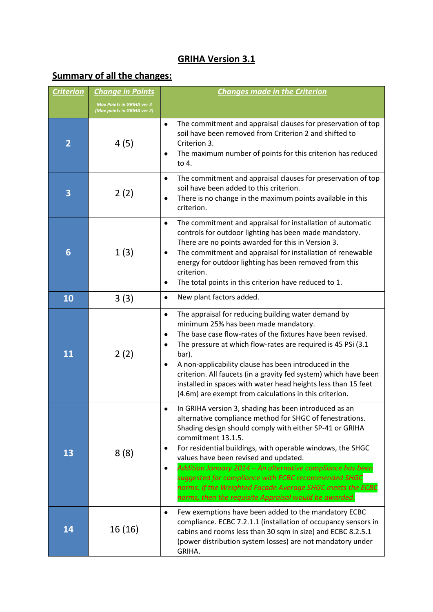# **GRIHA Version 3.1**

# **Summary of all the changes:**

| <b>Criterion</b> | <b>Change in Points</b>                                         | <b>Changes made in the Criterion</b>                                                                                                                                                                                                                                                                                                                                                                                                                                                                                                                                                |  |
|------------------|-----------------------------------------------------------------|-------------------------------------------------------------------------------------------------------------------------------------------------------------------------------------------------------------------------------------------------------------------------------------------------------------------------------------------------------------------------------------------------------------------------------------------------------------------------------------------------------------------------------------------------------------------------------------|--|
|                  | <b>Max Points in GRIHA ver 3</b><br>(Max points in GRIHA ver 2) |                                                                                                                                                                                                                                                                                                                                                                                                                                                                                                                                                                                     |  |
| $\overline{2}$   | 4(5)                                                            | The commitment and appraisal clauses for preservation of top<br>$\bullet$<br>soil have been removed from Criterion 2 and shifted to<br>Criterion 3.<br>The maximum number of points for this criterion has reduced<br>٠<br>to 4.                                                                                                                                                                                                                                                                                                                                                    |  |
| 3                | 2(2)                                                            | The commitment and appraisal clauses for preservation of top<br>$\bullet$<br>soil have been added to this criterion.<br>There is no change in the maximum points available in this<br>٠<br>criterion.                                                                                                                                                                                                                                                                                                                                                                               |  |
| 6                | 1(3)                                                            | The commitment and appraisal for installation of automatic<br>$\bullet$<br>controls for outdoor lighting has been made mandatory.<br>There are no points awarded for this in Version 3.<br>The commitment and appraisal for installation of renewable<br>٠<br>energy for outdoor lighting has been removed from this<br>criterion.<br>The total points in this criterion have reduced to 1.<br>٠                                                                                                                                                                                    |  |
| 10               | 3(3)                                                            | New plant factors added.<br>٠                                                                                                                                                                                                                                                                                                                                                                                                                                                                                                                                                       |  |
| 11               | 2(2)                                                            | The appraisal for reducing building water demand by<br>$\bullet$<br>minimum 25% has been made mandatory.<br>The base case flow-rates of the fixtures have been revised.<br>٠<br>The pressure at which flow-rates are required is 45 PSi (3.1)<br>٠<br>bar).<br>A non-applicability clause has been introduced in the<br>٠<br>criterion. All faucets (in a gravity fed system) which have been<br>installed in spaces with water head heights less than 15 feet<br>(4.6m) are exempt from calculations in this criterion.                                                            |  |
| 13               | 8(8)                                                            | In GRIHA version 3, shading has been introduced as an<br>$\bullet$<br>alternative compliance method for SHGC of fenestrations.<br>Shading design should comply with either SP-41 or GRIHA<br>commitment 13.1.5.<br>For residential buildings, with operable windows, the SHGC<br>٠<br>values have been revised and updated.<br>Addition January 2014 - An alternative compliance has been<br>$\bullet$<br>suggested for compliance with ECBC recommended SHGC<br>norms. If the Weighted Façade Average SHGC meets the ECBC<br>norms, then the requisite Appraisal would be awarded. |  |
| 14               | 16 (16)                                                         | Few exemptions have been added to the mandatory ECBC<br>$\bullet$<br>compliance. ECBC 7.2.1.1 (installation of occupancy sensors in<br>cabins and rooms less than 30 sqm in size) and ECBC 8.2.5.1<br>(power distribution system losses) are not mandatory under<br>GRIHA.                                                                                                                                                                                                                                                                                                          |  |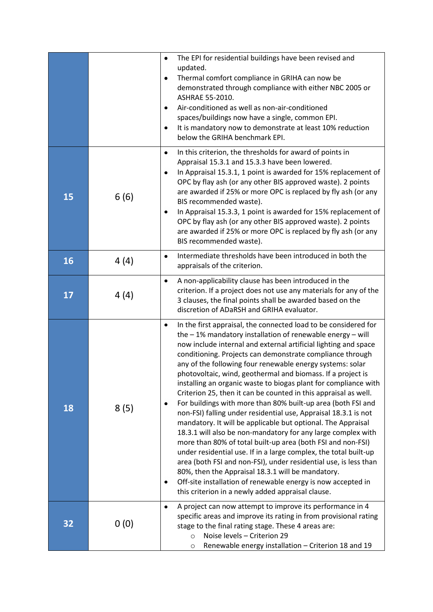|    |      | The EPI for residential buildings have been revised and<br>$\bullet$<br>updated.<br>Thermal comfort compliance in GRIHA can now be<br>٠<br>demonstrated through compliance with either NBC 2005 or<br>ASHRAE 55-2010.<br>Air-conditioned as well as non-air-conditioned<br>٠<br>spaces/buildings now have a single, common EPI.<br>It is mandatory now to demonstrate at least 10% reduction<br>$\bullet$<br>below the GRIHA benchmark EPI.                                                                                                                                                                                                                                                                                                                                                                                                                                                                                                                                                                                                                                                                                                                                                            |
|----|------|--------------------------------------------------------------------------------------------------------------------------------------------------------------------------------------------------------------------------------------------------------------------------------------------------------------------------------------------------------------------------------------------------------------------------------------------------------------------------------------------------------------------------------------------------------------------------------------------------------------------------------------------------------------------------------------------------------------------------------------------------------------------------------------------------------------------------------------------------------------------------------------------------------------------------------------------------------------------------------------------------------------------------------------------------------------------------------------------------------------------------------------------------------------------------------------------------------|
| 15 | 6(6) | In this criterion, the thresholds for award of points in<br>$\bullet$<br>Appraisal 15.3.1 and 15.3.3 have been lowered.<br>In Appraisal 15.3.1, 1 point is awarded for 15% replacement of<br>$\bullet$<br>OPC by flay ash (or any other BIS approved waste). 2 points<br>are awarded if 25% or more OPC is replaced by fly ash (or any<br>BIS recommended waste).<br>In Appraisal 15.3.3, 1 point is awarded for 15% replacement of<br>٠<br>OPC by flay ash (or any other BIS approved waste). 2 points<br>are awarded if 25% or more OPC is replaced by fly ash (or any<br>BIS recommended waste).                                                                                                                                                                                                                                                                                                                                                                                                                                                                                                                                                                                                    |
| 16 | 4(4) | Intermediate thresholds have been introduced in both the<br>$\bullet$<br>appraisals of the criterion.                                                                                                                                                                                                                                                                                                                                                                                                                                                                                                                                                                                                                                                                                                                                                                                                                                                                                                                                                                                                                                                                                                  |
| 17 | 4(4) | A non-applicability clause has been introduced in the<br>$\bullet$<br>criterion. If a project does not use any materials for any of the<br>3 clauses, the final points shall be awarded based on the<br>discretion of ADaRSH and GRIHA evaluator.                                                                                                                                                                                                                                                                                                                                                                                                                                                                                                                                                                                                                                                                                                                                                                                                                                                                                                                                                      |
| 18 | 8(5) | In the first appraisal, the connected load to be considered for<br>٠<br>the $-1\%$ mandatory installation of renewable energy $-$ will<br>now include internal and external artificial lighting and space<br>conditioning. Projects can demonstrate compliance through<br>any of the following four renewable energy systems: solar<br>photovoltaic, wind, geothermal and biomass. If a project is<br>installing an organic waste to biogas plant for compliance with<br>Criterion 25, then it can be counted in this appraisal as well.<br>For buildings with more than 80% built-up area (both FSI and<br>٠<br>non-FSI) falling under residential use, Appraisal 18.3.1 is not<br>mandatory. It will be applicable but optional. The Appraisal<br>18.3.1 will also be non-mandatory for any large complex with<br>more than 80% of total built-up area (both FSI and non-FSI)<br>under residential use. If in a large complex, the total built-up<br>area (both FSI and non-FSI), under residential use, is less than<br>80%, then the Appraisal 18.3.1 will be mandatory.<br>Off-site installation of renewable energy is now accepted in<br>٠<br>this criterion in a newly added appraisal clause. |
| 32 | 0(0) | A project can now attempt to improve its performance in 4<br>$\bullet$<br>specific areas and improve its rating in from provisional rating<br>stage to the final rating stage. These 4 areas are:<br>Noise levels - Criterion 29<br>$\circ$<br>Renewable energy installation - Criterion 18 and 19<br>$\circ$                                                                                                                                                                                                                                                                                                                                                                                                                                                                                                                                                                                                                                                                                                                                                                                                                                                                                          |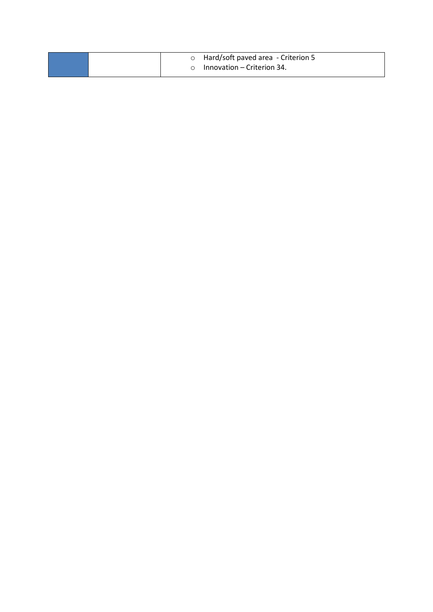|  | o Hard/soft paved area - Criterion 5 |
|--|--------------------------------------|
|  | $\circ$ Innovation – Criterion 34.   |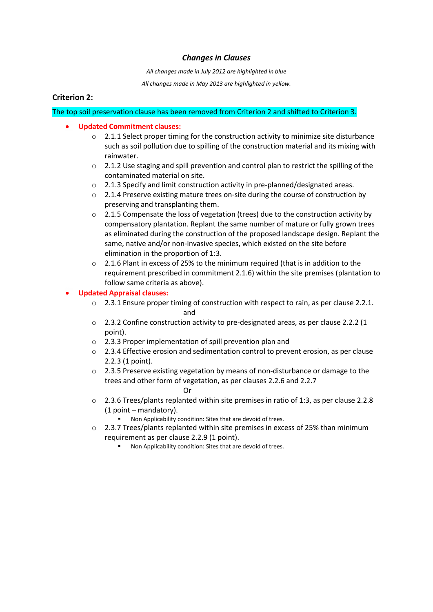# *Changes in Clauses*

*All changes made in July 2012 are highlighted in blue*

*All changes made in May 2013 are highlighted in yellow.*

# **Criterion 2:**

# The top soil preservation clause has been removed from Criterion 2 and shifted to Criterion 3.

## **Updated Commitment clauses:**

- $\circ$  2.1.1 Select proper timing for the construction activity to minimize site disturbance such as soil pollution due to spilling of the construction material and its mixing with rainwater.
- o 2.1.2 Use staging and spill prevention and control plan to restrict the spilling of the contaminated material on site.
- o 2.1.3 Specify and limit construction activity in pre-planned/designated areas.
- $\circ$  2.1.4 Preserve existing mature trees on-site during the course of construction by preserving and transplanting them.
- $\circ$  2.1.5 Compensate the loss of vegetation (trees) due to the construction activity by compensatory plantation. Replant the same number of mature or fully grown trees as eliminated during the construction of the proposed landscape design. Replant the same, native and/or non-invasive species, which existed on the site before elimination in the proportion of 1:3.
- o 2.1.6 Plant in excess of 25% to the minimum required (that is in addition to the requirement prescribed in commitment 2.1.6) within the site premises (plantation to follow same criteria as above).

### **Updated Appraisal clauses:**

- $\circ$  2.3.1 Ensure proper timing of construction with respect to rain, as per clause 2.2.1. and
	- $\degree$  2.3.2 Confine construction activity to pre-designated areas, as per clause 2.2.2 (1 point).
	- o 2.3.3 Proper implementation of spill prevention plan and
	- o 2.3.4 Effective erosion and sedimentation control to prevent erosion, as per clause 2.2.3 (1 point).
	- $\circ$  2.3.5 Preserve existing vegetation by means of non-disturbance or damage to the trees and other form of vegetation, as per clauses 2.2.6 and 2.2.7

### Or

- $\degree$  2.3.6 Trees/plants replanted within site premises in ratio of 1:3, as per clause 2.2.8 (1 point – mandatory).
	- Non Applicability condition: Sites that are devoid of trees.
- $\circ$  2.3.7 Trees/plants replanted within site premises in excess of 25% than minimum requirement as per clause 2.2.9 (1 point).
	- Non Applicability condition: Sites that are devoid of trees.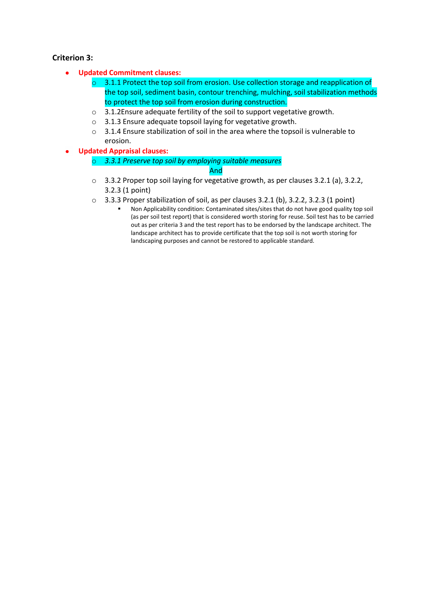# **Criterion 3:**

- **Updated Commitment clauses:**  $\bullet$ 
	- $\circ$  3.1.1 Protect the top soil from erosion. Use collection storage and reapplication of the top soil, sediment basin, contour trenching, mulching, soil stabilization methods to protect the top soil from erosion during construction.
	- o 3.1.2Ensure adequate fertility of the soil to support vegetative growth.
	- o 3.1.3 Ensure adequate topsoil laying for vegetative growth.
	- o 3.1.4 Ensure stabilization of soil in the area where the topsoil is vulnerable to erosion.
- **Updated Appraisal clauses:**
	- o *3.3.1 Preserve top soil by employing suitable measures*

### And

- o 3.3.2 Proper top soil laying for vegetative growth, as per clauses 3.2.1 (a), 3.2.2, 3.2.3 (1 point)
- o 3.3.3 Proper stabilization of soil, as per clauses 3.2.1 (b), 3.2.2, 3.2.3 (1 point)
	- Non Applicability condition: Contaminated sites/sites that do not have good quality top soil (as per soil test report) that is considered worth storing for reuse. Soil test has to be carried out as per criteria 3 and the test report has to be endorsed by the landscape architect. The landscape architect has to provide certificate that the top soil is not worth storing for landscaping purposes and cannot be restored to applicable standard.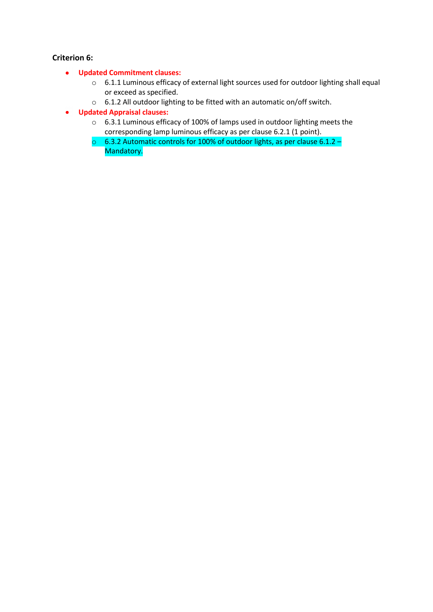# **Criterion 6:**

- **Updated Commitment clauses:**
	- o 6.1.1 Luminous efficacy of external light sources used for outdoor lighting shall equal or exceed as specified.
	- o 6.1.2 All outdoor lighting to be fitted with an automatic on/off switch.
- **Updated Appraisal clauses:**
	- o 6.3.1 Luminous efficacy of 100% of lamps used in outdoor lighting meets the corresponding lamp luminous efficacy as per clause 6.2.1 (1 point).
	- o 6.3.2 Automatic controls for 100% of outdoor lights, as per clause 6.1.2 Mandatory.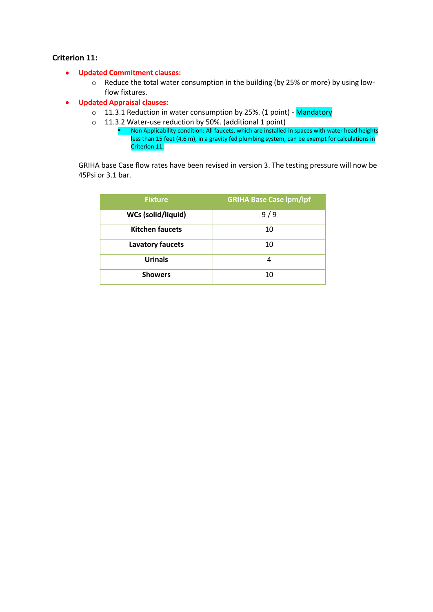# **Criterion 11:**

### **Updated Commitment clauses:**

- o Reduce the total water consumption in the building (by 25% or more) by using lowflow fixtures.
- **Updated Appraisal clauses:**  $\bullet$ 
	- o 11.3.1 Reduction in water consumption by 25%. (1 point) Mandatory
	- o 11.3.2 Water-use reduction by 50%. (additional 1 point)
		- Non Applicability condition: All faucets, which are installed in spaces with water head heights less than 15 feet (4.6 m), in a gravity fed plumbing system, can be exempt for calculations in Criterion 11.

GRIHA base Case flow rates have been revised in version 3. The testing pressure will now be 45Psi or 3.1 bar.

| <b>Fixture</b>          | <b>GRIHA Base Case Ipm/Ipf</b> |
|-------------------------|--------------------------------|
| WCs (solid/liquid)      | 9/9                            |
| <b>Kitchen faucets</b>  | 10                             |
| <b>Lavatory faucets</b> | 10                             |
| <b>Urinals</b>          | 4                              |
| <b>Showers</b>          | 10                             |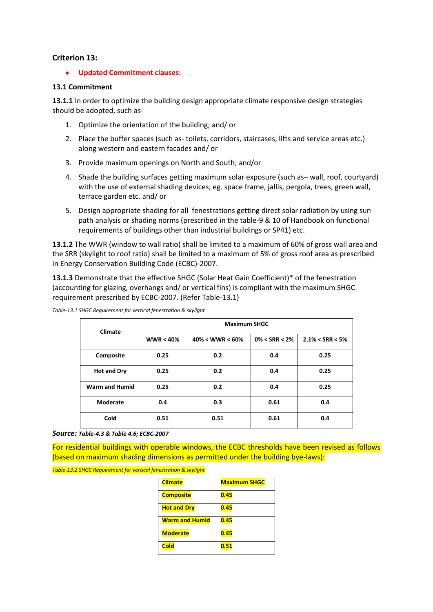## **Criterion 13:**

**Updated Commitment clauses:**  $\bullet$ 

### **13.1 Commitment**

**13.1.1** In order to optimize the building design appropriate climate responsive design strategies should be adopted, such as-

- 1. Optimize the orientation of the building; and/ or
- 2. Place the buffer spaces (such as- toilets, corridors, staircases, lifts and service areas etc.) along western and eastern facades and/ or
- 3. Provide maximum openings on North and South; and/or
- 4. Shade the building surfaces getting maximum solar exposure (such as– wall, roof, courtyard) with the use of external shading devices; eg. space frame, jallis, pergola, trees, green wall, terrace garden etc. and/ or
- 5. Design appropriate shading for all fenestrations getting direct solar radiation by using sun path analysis or shading norms (prescribed in the table-9 & 10 of Handbook on functional requirements of buildings other than industrial buildings or SP41) etc.

**13.1.2** The WWR (window to wall ratio) shall be limited to a maximum of 60% of gross wall area and the SRR (skylight to roof ratio) shall be limited to a maximum of 5% of gross roof area as prescribed in Energy Conservation Building Code (ECBC)-2007.

**13.1.3** Demonstrate that the effective SHGC (Solar Heat Gain Coefficient)\* of the fenestration (accounting for glazing, overhangs and/ or vertical fins) is compliant with the maximum SHGC requirement prescribed by ECBC-2007. (Refer Table-13.1)

| Climate               | <b>Maximum SHGC</b> |                    |                   |                     |  |
|-----------------------|---------------------|--------------------|-------------------|---------------------|--|
|                       | <b>WWR &lt; 40%</b> | $40\% <$ WWR < 60% | $0\% < SRR < 2\%$ | $2.1\% < SRR < 5\%$ |  |
| Composite             | 0.25                | 0.2                | 0.4               | 0.25                |  |
| <b>Hot and Dry</b>    | 0.25                | 0.2                | 0.4               | 0.25                |  |
| <b>Warm and Humid</b> | 0.25                | 0.2                | 0.4               | 0.25                |  |
| Moderate              | 0.4                 | 0.3                | 0.61              | 0.4                 |  |
| Cold                  | 0.51                | 0.51               | 0.61              | 0.4                 |  |

*Table-13.1 SHGC Requirement for vertical fenestration & skylight*

*Source: Table-4.3 & Table 4.6; ECBC-2007*

For residential buildings with operable windows, the ECBC thresholds have been revised as follows (based on maximum shading dimensions as permitted under the building bye-laws):

*Table-13.2 SHGC Requirement for vertical fenestration & skylight*

| <b>Climate</b>        | <b>Maximum SHGC</b> |
|-----------------------|---------------------|
| <b>Composite</b>      | 0.45                |
| <b>Hot and Dry</b>    | 0.45                |
| <b>Warm and Humid</b> | 0.45                |
| <b>Moderate</b>       | 0.45                |
| <b>Cold</b>           | 0.51                |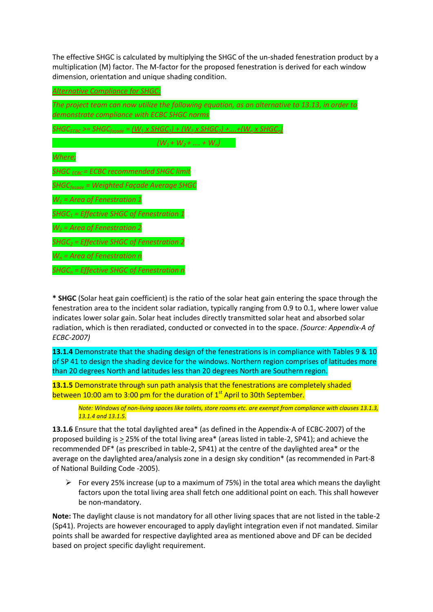The effective SHGC is calculated by multiplying the SHGC of the un-shaded fenestration product by a multiplication (M) factor. The M-factor for the proposed fenestration is derived for each window dimension, orientation and unique shading condition.

| <b>Alternative Compliance for SHGC:</b>                                                                                                         |
|-------------------------------------------------------------------------------------------------------------------------------------------------|
| The project team can now utilize the following equation, as an alternative to 13.13, in order to<br>demonstrate compliance with ECBC SHGC norms |
| $SHGC_{ECBC}$ >= SHGC <sub>facade</sub> = $(W_1 x$ SHGC <sub>1</sub> ) + $(W_2 x$ SHGC <sub>2</sub> ) + + $(W_n x$ SHGC <sub>n</sub> )          |
| $(W_1 + W_2 + \dots + W_n)$                                                                                                                     |
| Where;                                                                                                                                          |
| SHGC $_{FCBC}$ = ECBC recommended SHGC limit                                                                                                    |
| SHGC <sub>facade</sub> = Weighted Façade Average SHGC                                                                                           |
| $W_1$ = Area of Fenestration 1                                                                                                                  |
| $SHGC1 = Effective SHGC of Fenestration 1$                                                                                                      |
| $W_2$ = Area of Fenestration 2                                                                                                                  |
| $SHGC2 = Effective SHGC of Feneration 2$                                                                                                        |
| $W_n$ = Area of Fenestration n                                                                                                                  |
| $SHGC_n$ = Effective SHGC of Fenestration n                                                                                                     |

**\* SHGC** (Solar heat gain coefficient) is the ratio of the solar heat gain entering the space through the fenestration area to the incident solar radiation, typically ranging from 0.9 to 0.1, where lower value indicates lower solar gain. Solar heat includes directly transmitted solar heat and absorbed solar radiation, which is then reradiated, conducted or convected in to the space. *(Source: Appendix-A of ECBC-2007)*

**13.1.4** Demonstrate that the shading design of the fenestrations is in compliance with Tables 9 & 10 of SP 41 to design the shading device for the windows. Northern region comprises of latitudes more than 20 degrees North and latitudes less than 20 degrees North are Southern region.

**13.1.5** Demonstrate through sun path analysis that the fenestrations are completely shaded between 10:00 am to 3:00 pm for the duration of 1<sup>st</sup> April to 30th September.

*Note: Windows of non-living spaces like toilets, store rooms etc. are exempt from compliance with clauses 13.1.3, 13.1.4 and 13.1.5.*

**13.1.6** Ensure that the total daylighted area\* (as defined in the Appendix-A of ECBC-2007) of the proposed building is  $\geq$  25% of the total living area\* (areas listed in table-2, SP41); and achieve the recommended DF\* (as prescribed in table-2, SP41) at the centre of the daylighted area\* or the average on the daylighted area/analysis zone in a design sky condition\* (as recommended in Part-8 of National Building Code -2005).

For every 25% increase (up to a maximum of 75%) in the total area which means the daylight factors upon the total living area shall fetch one additional point on each. This shall however be non-mandatory.

**Note:** The daylight clause is not mandatory for all other living spaces that are not listed in the table-2 (Sp41). Projects are however encouraged to apply daylight integration even if not mandated. Similar points shall be awarded for respective daylighted area as mentioned above and DF can be decided based on project specific daylight requirement.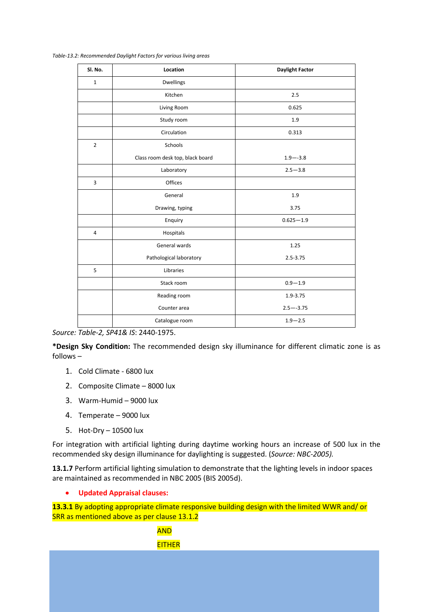*Table-13.2: Recommended Daylight Factors for various living areas*

| Sl. No.        | Location                         | <b>Daylight Factor</b> |
|----------------|----------------------------------|------------------------|
| $\mathbf{1}$   | Dwellings                        |                        |
|                | Kitchen                          | 2.5                    |
|                | Living Room                      | 0.625                  |
|                | Study room                       | 1.9                    |
|                | Circulation                      | 0.313                  |
| $\overline{2}$ | Schools                          |                        |
|                | Class room desk top, black board | $1.9 - -3.8$           |
|                | Laboratory                       | $2.5 - 3.8$            |
| 3              | Offices                          |                        |
|                | General                          | 1.9                    |
|                | Drawing, typing                  | 3.75                   |
|                | Enquiry                          | $0.625 - 1.9$          |
| $\overline{4}$ | Hospitals                        |                        |
|                | General wards                    | 1.25                   |
|                | Pathological laboratory          | $2.5 - 3.75$           |
| 5              | Libraries                        |                        |
|                | Stack room                       | $0.9 - 1.9$            |
|                | Reading room                     | 1.9-3.75               |
|                | Counter area                     | $2.5 - -3.75$          |
|                | Catalogue room                   | $1.9 - 2.5$            |

*Source: Table-2, SP41& IS*: 2440-1975.

**\*Design Sky Condition:** The recommended design sky illuminance for different climatic zone is as follows –

- 1. Cold Climate 6800 lux
- 2. Composite Climate 8000 lux
- 3. Warm-Humid 9000 lux
- 4. Temperate 9000 lux
- 5. Hot-Dry 10500 lux

For integration with artificial lighting during daytime working hours an increase of 500 lux in the recommended sky design illuminance for daylighting is suggested. (*Source: NBC-2005).*

13.1.7 Perform artificial lighting simulation to demonstrate that the lighting levels in indoor spaces are maintained as recommended in NBC 2005 (BIS 2005d).

#### **Updated Appraisal clauses:**  $\bullet$

**13.3.1** By adopting appropriate climate responsive building design with the limited WWR and/ or SRR as mentioned above as per clause 13.1.2

> AND **EITHER**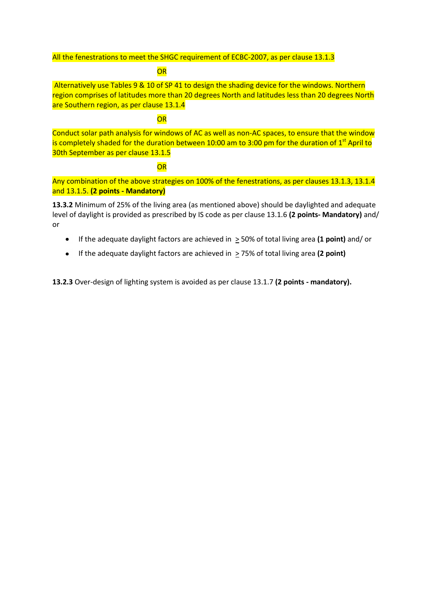All the fenestrations to meet the SHGC requirement of ECBC-2007, as per clause 13.1.3

### **OR**

Alternatively use Tables 9 & 10 of SP 41 to design the shading device for the windows. Northern region comprises of latitudes more than 20 degrees North and latitudes less than 20 degrees North are Southern region, as per clause 13.1.4

# **OR**

Conduct solar path analysis for windows of AC as well as non-AC spaces, to ensure that the window is completely shaded for the duration between 10:00 am to 3:00 pm for the duration of  $1<sup>st</sup>$  April to 30th September as per clause 13.1.5

# **OR**

Any combination of the above strategies on 100% of the fenestrations, as per clauses 13.1.3, 13.1.4 and 13.1.5. **(2 points - Mandatory)**

**13.3.2** Minimum of 25% of the living area (as mentioned above) should be daylighted and adequate level of daylight is provided as prescribed by IS code as per clause 13.1.6 **(2 points- Mandatory)** and/ or

- $\bullet$ If the adequate daylight factors are achieved in > 50% of total living area **(1 point)** and/ or
- If the adequate daylight factors are achieved in > 75% of total living area **(2 point)**  $\bullet$

**13.2.3** Over-design of lighting system is avoided as per clause 13.1.7 **(2 points - mandatory).**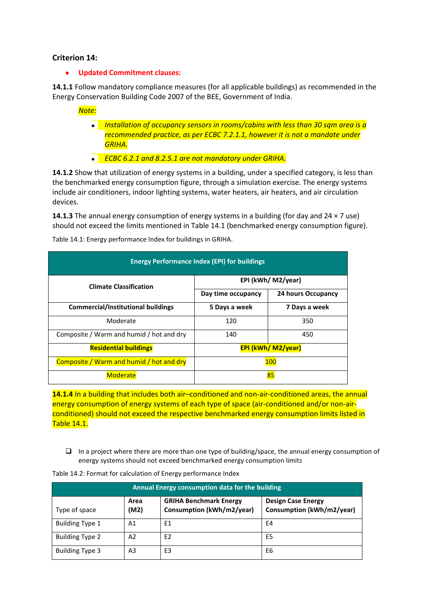# **Criterion 14:**

#### **Updated Commitment clauses:**  $\bullet$

**14.1.1** Follow mandatory compliance measures (for all applicable buildings) as recommended in the Energy Conservation Building Code 2007 of the BEE, Government of India.

*Note:* 

- *Installation of occupancy sensors in rooms/cabins with less than 30 sqm area is a recommended practice, as per ECBC 7.2.1.1, however it is not a mandate under GRIHA.*
- *ECBC 6.2.1 and 8.2.5.1 are not mandatory under GRIHA.*

**14.1.2** Show that utilization of energy systems in a building, under a specified category, is less than the benchmarked energy consumption figure, through a simulation exercise. The energy systems include air conditioners, indoor lighting systems, water heaters, air heaters, and air circulation devices.

**14.1.3** The annual energy consumption of energy systems in a building (for day and 24 × 7 use) should not exceed the limits mentioned in Table 14.1 (benchmarked energy consumption figure).

| <b>Energy Performance Index (EPI) for buildings</b> |                    |                           |  |
|-----------------------------------------------------|--------------------|---------------------------|--|
| <b>Climate Classification</b>                       | EPI (kWh/ M2/year) |                           |  |
|                                                     | Day time occupancy | 24 hours Occupancy        |  |
| <b>Commercial/Institutional buildings</b>           | 5 Days a week      | 7 Days a week             |  |
| Moderate                                            | 120                | 350                       |  |
| Composite / Warm and humid / hot and dry            | 140                | 450                       |  |
| <b>Residential buildings</b>                        |                    | <b>EPI (kWh/ M2/year)</b> |  |
| Composite / Warm and humid / hot and dry            |                    | 100                       |  |
| <b>Moderate</b>                                     |                    | 85                        |  |

Table 14.1: Energy performance Index for buildings in GRIHA.

**14.1.4** In a building that includes both air–conditioned and non-air-conditioned areas, the annual energy consumption of energy systems of each type of space (air-conditioned and/or non-airconditioned) should not exceed the respective benchmarked energy consumption limits listed in Table 14.1.

 $\Box$  In a project where there are more than one type of building/space, the annual energy consumption of energy systems should not exceed benchmarked energy consumption limits

| Annual Energy consumption data for the building |                |                                                            |                                                        |
|-------------------------------------------------|----------------|------------------------------------------------------------|--------------------------------------------------------|
| Type of space                                   | Area<br>(M2)   | <b>GRIHA Benchmark Energy</b><br>Consumption (kWh/m2/year) | <b>Design Case Energy</b><br>Consumption (kWh/m2/year) |
| <b>Building Type 1</b>                          | A <sub>1</sub> | E1                                                         | E4                                                     |
| <b>Building Type 2</b>                          | A <sub>2</sub> | E <sub>2</sub>                                             | E5                                                     |
| <b>Building Type 3</b>                          | A3             | E3                                                         | E6                                                     |

Table 14.2: Format for calculation of Energy performance Index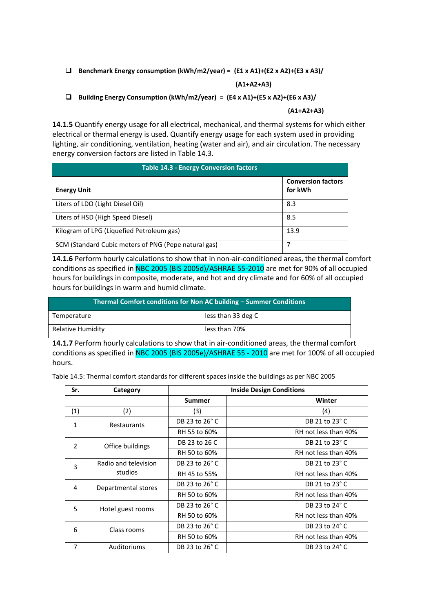# **Benchmark Energy consumption (kWh/m2/year) = (E1 x A1)+(E2 x A2)+(E3 x A3)/**

### **(A1+A2+A3)**

## **Building Energy Consumption (kWh/m2/year) = (E4 x A1)+(E5 x A2)+(E6 x A3)/**

### **(A1+A2+A3)**

**14.1.5** Quantify energy usage for all electrical, mechanical, and thermal systems for which either electrical or thermal energy is used. Quantify energy usage for each system used in providing lighting, air conditioning, ventilation, heating (water and air), and air circulation. The necessary energy conversion factors are listed in Table 14.3.

| <b>Table 14.3 - Energy Conversion factors</b>        |                                      |  |  |
|------------------------------------------------------|--------------------------------------|--|--|
| <b>Energy Unit</b>                                   | <b>Conversion factors</b><br>for kWh |  |  |
| Liters of LDO (Light Diesel Oil)                     | 8.3                                  |  |  |
| Liters of HSD (High Speed Diesel)                    | 8.5                                  |  |  |
| Kilogram of LPG (Liquefied Petroleum gas)            | 13.9                                 |  |  |
| SCM (Standard Cubic meters of PNG (Pepe natural gas) | 7                                    |  |  |

**14.1.6** Perform hourly calculations to show that in non-air-conditioned areas, the thermal comfort conditions as specified in NBC 2005 (BIS 2005d)/ASHRAE 55-2010 are met for 90% of all occupied hours for buildings in composite, moderate, and hot and dry climate and for 60% of all occupied hours for buildings in warm and humid climate.

| Thermal Comfort conditions for Non AC building - Summer Conditions |                    |  |
|--------------------------------------------------------------------|--------------------|--|
| Temperature                                                        | less than 33 deg C |  |
| Relative Humidity                                                  | less than 70%      |  |

**14.1.7** Perform hourly calculations to show that in air-conditioned areas, the thermal comfort conditions as specified in NBC 2005 (BIS 2005e)/ASHRAE 55 - 2010 are met for 100% of all occupied hours.

Table 14.5: Thermal comfort standards for different spaces inside the buildings as per NBC 2005

| Sr.            | Category                        | <b>Inside Design Conditions</b> |                      |  |
|----------------|---------------------------------|---------------------------------|----------------------|--|
|                |                                 | <b>Summer</b>                   | Winter               |  |
| (1)            | (2)                             | (3)                             | (4)                  |  |
| $\mathbf{1}$   | Restaurants                     | DB 23 to 26° C                  | DB 21 to 23° C       |  |
|                |                                 | RH 55 to 60%                    | RH not less than 40% |  |
| $\overline{2}$ | Office buildings                | DB 23 to 26 C                   | DB 21 to 23° C       |  |
|                |                                 | RH 50 to 60%                    | RH not less than 40% |  |
| 3              | Radio and television<br>studios | DB 23 to 26° C                  | DB 21 to 23° C       |  |
|                |                                 | RH 45 to 55%                    | RH not less than 40% |  |
| 4              | Departmental stores             | DB 23 to 26° C                  | DB 21 to 23° C       |  |
|                |                                 | RH 50 to 60%                    | RH not less than 40% |  |
| 5              | Hotel guest rooms               | DB 23 to 26° C                  | DB 23 to 24° C       |  |
|                |                                 | RH 50 to 60%                    | RH not less than 40% |  |
| 6              | Class rooms                     | DB 23 to 26° C                  | DB 23 to 24° C       |  |
|                |                                 | RH 50 to 60%                    | RH not less than 40% |  |
| 7              | Auditoriums                     | DB 23 to 26° C                  | DB 23 to 24° C       |  |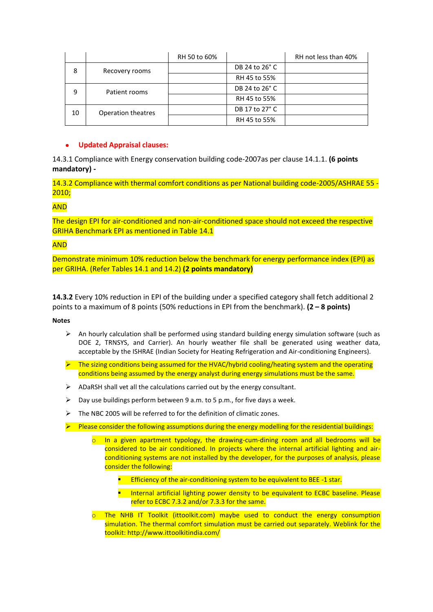|    |                    | RH 50 to 60% |                | RH not less than 40% |
|----|--------------------|--------------|----------------|----------------------|
| 8  | Recovery rooms     |              | DB 24 to 26° C |                      |
|    |                    |              | RH 45 to 55%   |                      |
| 9  | Patient rooms      |              | DB 24 to 26° C |                      |
|    |                    |              | RH 45 to 55%   |                      |
| 10 | Operation theatres |              | DB 17 to 27° C |                      |
|    |                    |              | RH 45 to 55%   |                      |

## **Updated Appraisal clauses:**

14.3.1 Compliance with Energy conservation building code-2007as per clause 14.1.1. **(6 points mandatory) -**

14.3.2 Compliance with thermal comfort conditions as per National building code-2005/ASHRAE 55 - 2010;

# AND

The design EPI for air-conditioned and non-air-conditioned space should not exceed the respective GRIHA Benchmark EPI as mentioned in Table 14.1

# AND

Demonstrate minimum 10% reduction below the benchmark for energy performance index (EPI) as per GRIHA. (Refer Tables 14.1 and 14.2) **(2 points mandatory)**

**14.3.2** Every 10% reduction in EPI of the building under a specified category shall fetch additional 2 points to a maximum of 8 points (50% reductions in EPI from the benchmark). **(2 – 8 points)**

### **Notes**

- $\triangleright$  An hourly calculation shall be performed using standard building energy simulation software (such as DOE 2, TRNSYS, and Carrier). An hourly weather file shall be generated using weather data, acceptable by the ISHRAE (Indian Society for Heating Refrigeration and Air-conditioning Engineers).
- $\triangleright$  The sizing conditions being assumed for the HVAC/hybrid cooling/heating system and the operating conditions being assumed by the energy analyst during energy simulations must be the same.
- $\triangleright$  ADaRSH shall vet all the calculations carried out by the energy consultant.
- $\triangleright$  Day use buildings perform between 9 a.m. to 5 p.m., for five days a week.
- $\triangleright$  The NBC 2005 will be referred to for the definition of climatic zones.
- $\triangleright$  Please consider the following assumptions during the energy modelling for the residential buildings:
	- o In a given apartment typology, the drawing-cum-dining room and all bedrooms will be considered to be air conditioned. In projects where the internal artificial lighting and airconditioning systems are not installed by the developer, for the purposes of analysis, please consider the following:
		- **Efficiency of the air-conditioning system to be equivalent to BEE -1 star.**
		- **Internal artificial lighting power density to be equivalent to ECBC baseline. Please** refer to ECBC 7.3.2 and/or 7.3.3 for the same.
	- $\circ$  The NHB IT Toolkit (ittoolkit.com) maybe used to conduct the energy consumption simulation. The thermal comfort simulation must be carried out separately. Weblink for the toolkit: http://www.ittoolkitindia.com/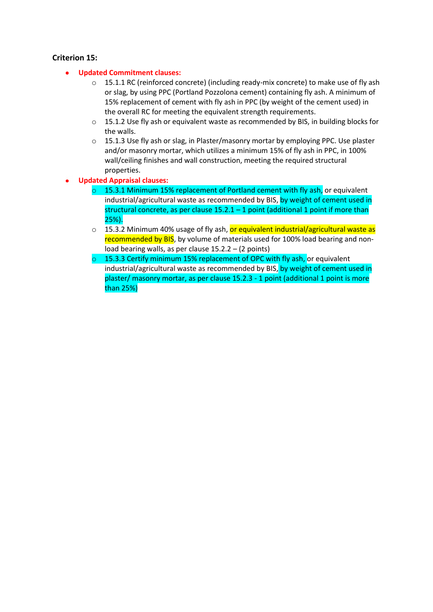# **Criterion 15:**

- **Updated Commitment clauses:**  $\bullet$ 
	- o 15.1.1 RC (reinforced concrete) (including ready-mix concrete) to make use of fly ash or slag, by using PPC (Portland Pozzolona cement) containing fly ash. A minimum of 15% replacement of cement with fly ash in PPC (by weight of the cement used) in the overall RC for meeting the equivalent strength requirements.
	- o 15.1.2 Use fly ash or equivalent waste as recommended by BIS, in building blocks for the walls.
	- $\circ$  15.1.3 Use fly ash or slag, in Plaster/masonry mortar by employing PPC. Use plaster and/or masonry mortar, which utilizes a minimum 15% of fly ash in PPC, in 100% wall/ceiling finishes and wall construction, meeting the required structural properties.
- **Updated Appraisal clauses:**
	- $\circ$  15.3.1 Minimum 15% replacement of Portland cement with fly ash, or equivalent industrial/agricultural waste as recommended by BIS, by weight of cement used in structural concrete, as per clause  $15.2.1 - 1$  point (additional 1 point if more than  $25%$ ).
	- $\circ$  15.3.2 Minimum 40% usage of fly ash, or equivalent industrial/agricultural waste as recommended by BIS, by volume of materials used for 100% load bearing and nonload bearing walls, as per clause 15.2.2 – (2 points)
	- 15.3.3 Certify minimum 15% replacement of OPC with fly ash, or equivalent industrial/agricultural waste as recommended by BIS, by weight of cement used in plaster/ masonry mortar, as per clause 15.2.3 - 1 point (additional 1 point is more than 25%)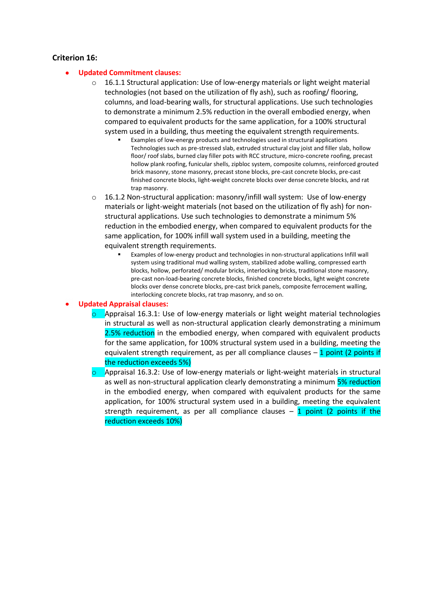# **Criterion 16:**

### **Updated Commitment clauses:**

- $\circ$  16.1.1 Structural application: Use of low-energy materials or light weight material technologies (not based on the utilization of fly ash), such as roofing/ flooring, columns, and load-bearing walls, for structural applications. Use such technologies to demonstrate a minimum 2.5% reduction in the overall embodied energy, when compared to equivalent products for the same application, for a 100% structural system used in a building, thus meeting the equivalent strength requirements.
	- Examples of low-energy products and technologies used in structural applications Technologies such as pre-stressed slab, extruded structural clay joist and filler slab, hollow floor/ roof slabs, burned clay filler pots with RCC structure, micro-concrete roofing, precast hollow plank roofing, funicular shells, zipbloc system, composite columns, reinforced grouted brick masonry, stone masonry, precast stone blocks, pre-cast concrete blocks, pre-cast finished concrete blocks, light-weight concrete blocks over dense concrete blocks, and rat trap masonry.
- $\circ$  16.1.2 Non-structural application: masonry/infill wall system: Use of low-energy materials or light-weight materials (not based on the utilization of fly ash) for nonstructural applications. Use such technologies to demonstrate a minimum 5% reduction in the embodied energy, when compared to equivalent products for the same application, for 100% infill wall system used in a building, meeting the equivalent strength requirements.
	- Examples of low-energy product and technologies in non-structural applications Infill wall system using traditional mud walling system, stabilized adobe walling, compressed earth blocks, hollow, perforated/ modular bricks, interlocking bricks, traditional stone masonry, pre-cast non-load-bearing concrete blocks, finished concrete blocks, light weight concrete blocks over dense concrete blocks, pre-cast brick panels, composite ferrocement walling, interlocking concrete blocks, rat trap masonry, and so on.

### **Updated Appraisal clauses:**

- $\circ$  Appraisal 16.3.1: Use of low-energy materials or light weight material technologies in structural as well as non-structural application clearly demonstrating a minimum 2.5% reduction in the embodied energy, when compared with equivalent products for the same application, for 100% structural system used in a building, meeting the equivalent strength requirement, as per all compliance clauses  $-1$  point (2 points if the reduction exceeds 5%)
- $\circ$  Appraisal 16.3.2: Use of low-energy materials or light-weight materials in structural as well as non-structural application clearly demonstrating a minimum 5% reduction in the embodied energy, when compared with equivalent products for the same application, for 100% structural system used in a building, meeting the equivalent strength requirement, as per all compliance clauses  $-1$  point (2 points if the reduction exceeds 10%)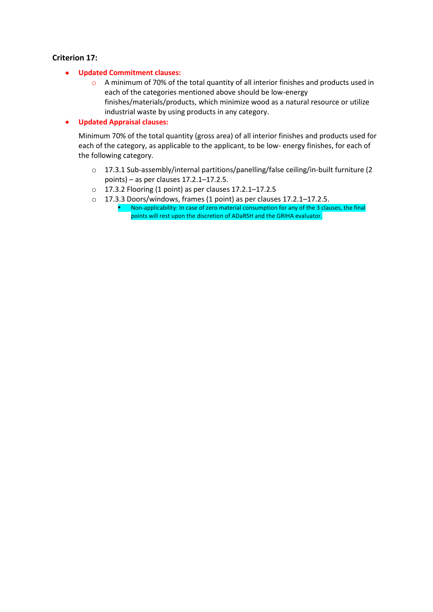# **Criterion 17:**

- $\bullet$ **Updated Commitment clauses:**
	- o A minimum of 70% of the total quantity of all interior finishes and products used in each of the categories mentioned above should be low-energy finishes/materials/products, which minimize wood as a natural resource or utilize industrial waste by using products in any category.
- $\bullet$ **Updated Appraisal clauses:**

Minimum 70% of the total quantity (gross area) of all interior finishes and products used for each of the category, as applicable to the applicant, to be low- energy finishes, for each of the following category.

- o 17.3.1 Sub-assembly/internal partitions/panelling/false ceiling/in-built furniture (2 points) – as per clauses 17.2.1–17.2.5.
- o 17.3.2 Flooring (1 point) as per clauses 17.2.1–17.2.5
- o 17.3.3 Doors/windows, frames (1 point) as per clauses 17.2.1–17.2.5.
	- Non-applicability: In case of zero material consumption for any of the 3 clauses, the final points will rest upon the discretion of ADaRSH and the GRIHA evaluator.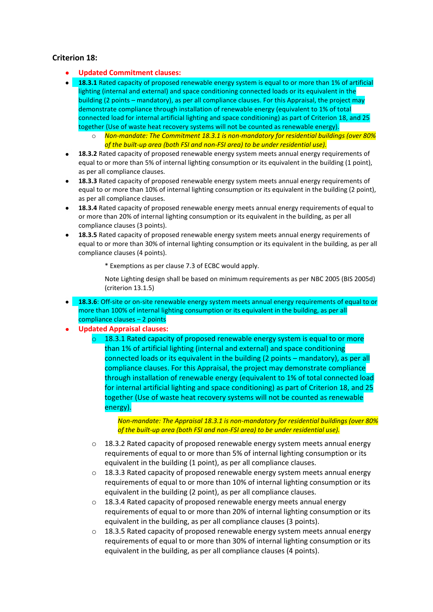# **Criterion 18:**

- **Updated Commitment clauses:**
- **18.3.1** Rated capacity of proposed renewable energy system is equal to or more than 1% of artificial lighting (internal and external) and space conditioning connected loads or its equivalent in the building (2 points – mandatory), as per all compliance clauses. For this Appraisal, the project may demonstrate compliance through installation of renewable energy (equivalent to 1% of total connected load for internal artificial lighting and space conditioning) as part of Criterion 18, and 25 together (Use of waste heat recovery systems will not be counted as renewable energy).
	- o *Non-mandate: The Commitment 18.3.1 is non-mandatory for residential buildings (over 80% of the built-up area (both FSI and non-FSI area) to be under residential use).*
- **18.3.2** Rated capacity of proposed renewable energy system meets annual energy requirements of equal to or more than 5% of internal lighting consumption or its equivalent in the building (1 point), as per all compliance clauses.
- **18.3.3** Rated capacity of proposed renewable energy system meets annual energy requirements of equal to or more than 10% of internal lighting consumption or its equivalent in the building (2 point), as per all compliance clauses.
- **18.3.4** Rated capacity of proposed renewable energy meets annual energy requirements of equal to or more than 20% of internal lighting consumption or its equivalent in the building, as per all compliance clauses (3 points).
- **18.3.5** Rated capacity of proposed renewable energy system meets annual energy requirements of equal to or more than 30% of internal lighting consumption or its equivalent in the building, as per all compliance clauses (4 points).
	- \* Exemptions as per clause 7.3 of ECBC would apply.

Note Lighting design shall be based on minimum requirements as per NBC 2005 (BIS 2005d) (criterion 13.1.5)

- **18.3.6**: Off-site or on-site renewable energy system meets annual energy requirements of equal to or more than 100% of internal lighting consumption or its equivalent in the building, as per all compliance clauses – 2 points
- **Updated Appraisal clauses:**
	- $\circ$  18.3.1 Rated capacity of proposed renewable energy system is equal to or more than 1% of artificial lighting (internal and external) and space conditioning connected loads or its equivalent in the building (2 points – mandatory), as per all compliance clauses. For this Appraisal, the project may demonstrate compliance through installation of renewable energy (equivalent to 1% of total connected load for internal artificial lighting and space conditioning) as part of Criterion 18, and 25 together (Use of waste heat recovery systems will not be counted as renewable energy).

*Non-mandate: The Appraisal 18.3.1 is non-mandatory for residential buildings (over 80% of the built-up area (both FSI and non-FSI area) to be under residential use).*

- $\circ$  18.3.2 Rated capacity of proposed renewable energy system meets annual energy requirements of equal to or more than 5% of internal lighting consumption or its equivalent in the building (1 point), as per all compliance clauses.
- $\circ$  18.3.3 Rated capacity of proposed renewable energy system meets annual energy requirements of equal to or more than 10% of internal lighting consumption or its equivalent in the building (2 point), as per all compliance clauses.
- o 18.3.4 Rated capacity of proposed renewable energy meets annual energy requirements of equal to or more than 20% of internal lighting consumption or its equivalent in the building, as per all compliance clauses (3 points).
- $\circ$  18.3.5 Rated capacity of proposed renewable energy system meets annual energy requirements of equal to or more than 30% of internal lighting consumption or its equivalent in the building, as per all compliance clauses (4 points).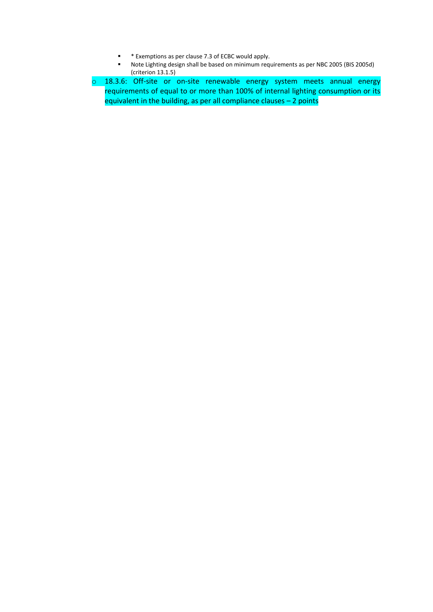- \* Exemptions as per clause 7.3 of ECBC would apply.
- Note Lighting design shall be based on minimum requirements as per NBC 2005 (BIS 2005d) (criterion 13.1.5)
- o 18.3.6: Off-site or on-site renewable energy system meets annual energy requirements of equal to or more than 100% of internal lighting consumption or its equivalent in the building, as per all compliance clauses – 2 points